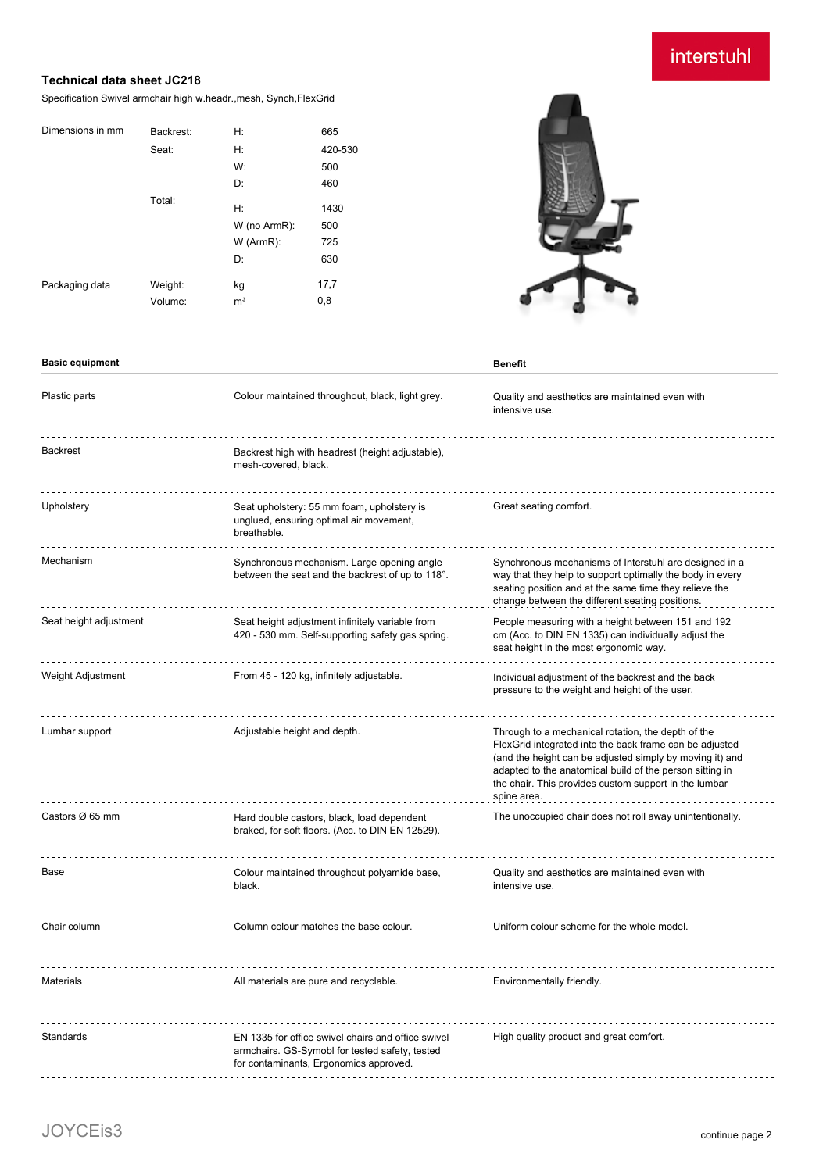interstuhl

### **Technical data sheet JC218**

Specification Swivel armchair high w.headr.,mesh, Synch,FlexGrid

| Dimensions in mm | Backrest: | H:             | 665     |
|------------------|-----------|----------------|---------|
|                  | Seat:     | H:             | 420-530 |
|                  |           | W:             | 500     |
|                  |           | D:             | 460     |
|                  | Total:    | H:             | 1430    |
|                  |           | W (no ArmR):   | 500     |
|                  |           | $W$ (ArmR):    | 725     |
|                  |           | D:             | 630     |
| Packaging data   | Weight:   | kg             | 17,7    |
|                  | Volume:   | m <sup>3</sup> | 0,8     |

**Basic equipment Benefit** 



| Plastic parts          | Colour maintained throughout, black, light grey.                                                                                               | Quality and aesthetics are maintained even with<br>intensive use.                                                                                                                                                                                                                                             |
|------------------------|------------------------------------------------------------------------------------------------------------------------------------------------|---------------------------------------------------------------------------------------------------------------------------------------------------------------------------------------------------------------------------------------------------------------------------------------------------------------|
| <b>Backrest</b>        | Backrest high with headrest (height adjustable),<br>mesh-covered, black.                                                                       |                                                                                                                                                                                                                                                                                                               |
| Upholstery             | Seat upholstery: 55 mm foam, upholstery is<br>unglued, ensuring optimal air movement,<br>breathable.                                           | Great seating comfort.                                                                                                                                                                                                                                                                                        |
| Mechanism              | Synchronous mechanism. Large opening angle<br>between the seat and the backrest of up to 118°.                                                 | Synchronous mechanisms of Interstuhl are designed in a<br>way that they help to support optimally the body in every<br>seating position and at the same time they relieve the<br>change between the different seating positions.                                                                              |
| Seat height adjustment | Seat height adjustment infinitely variable from<br>420 - 530 mm. Self-supporting safety gas spring.                                            | People measuring with a height between 151 and 192<br>cm (Acc. to DIN EN 1335) can individually adjust the<br>seat height in the most ergonomic way.                                                                                                                                                          |
| Weight Adjustment      | From 45 - 120 kg, infinitely adjustable.                                                                                                       | Individual adjustment of the backrest and the back<br>pressure to the weight and height of the user.                                                                                                                                                                                                          |
| Lumbar support         | Adjustable height and depth.                                                                                                                   | Through to a mechanical rotation, the depth of the<br>FlexGrid integrated into the back frame can be adjusted<br>(and the height can be adjusted simply by moving it) and<br>adapted to the anatomical build of the person sitting in<br>the chair. This provides custom support in the lumbar<br>spine area. |
| Castors Ø 65 mm        | Hard double castors, black, load dependent<br>braked, for soft floors. (Acc. to DIN EN 12529).                                                 | The unoccupied chair does not roll away unintentionally.                                                                                                                                                                                                                                                      |
| Base                   | Colour maintained throughout polyamide base,<br>black.                                                                                         | Quality and aesthetics are maintained even with<br>intensive use.                                                                                                                                                                                                                                             |
| Chair column           | Column colour matches the base colour.                                                                                                         | Uniform colour scheme for the whole model.                                                                                                                                                                                                                                                                    |
| <b>Materials</b>       | All materials are pure and recyclable.                                                                                                         | Environmentally friendly.                                                                                                                                                                                                                                                                                     |
| Standards              | EN 1335 for office swivel chairs and office swivel<br>armchairs. GS-Symobl for tested safety, tested<br>for contaminants, Ergonomics approved. | High quality product and great comfort.                                                                                                                                                                                                                                                                       |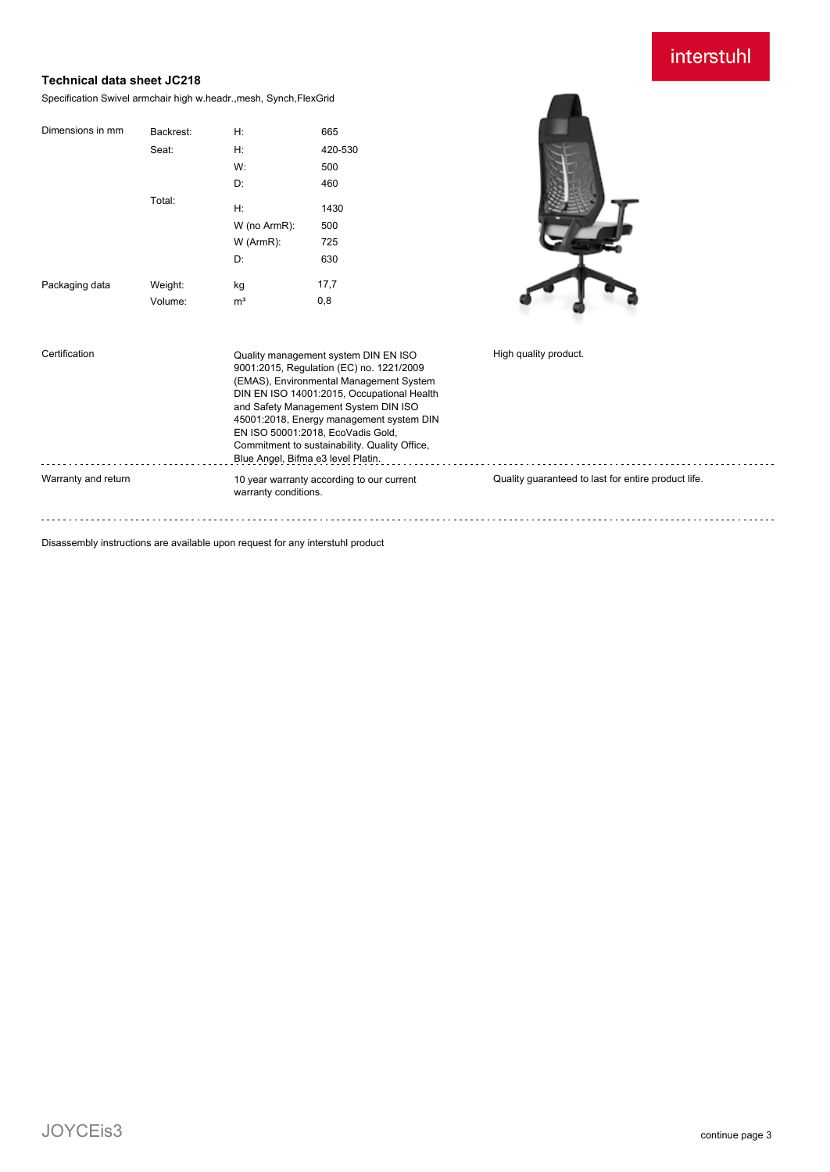# interstuhl

## **Technical data sheet JC218**

Specification Swivel armchair high w.headr.,mesh, Synch,FlexGrid

| Dimensions in mm | Backrest: | H:             | 665     |
|------------------|-----------|----------------|---------|
|                  | Seat:     | H:             | 420-530 |
|                  |           | W:             | 500     |
|                  |           | D:             | 460     |
|                  | Total:    | H:             | 1430    |
|                  |           | W (no ArmR):   | 500     |
|                  |           | W (ArmR):      | 725     |
|                  |           | D:             | 630     |
| Packaging data   | Weight:   | kg             | 17,7    |
|                  | Volume:   | m <sup>3</sup> | 0,8     |



| Certification       | Quality management system DIN EN ISO<br>9001:2015, Regulation (EC) no. 1221/2009<br>(EMAS), Environmental Management System<br>DIN EN ISO 14001:2015, Occupational Health<br>and Safety Management System DIN ISO<br>45001:2018, Energy management system DIN<br>EN ISO 50001:2018. EcoVadis Gold.<br>Commitment to sustainability. Quality Office,<br>Blue Angel, Bifma e3 level Platin. | High quality product.                               |
|---------------------|-------------------------------------------------------------------------------------------------------------------------------------------------------------------------------------------------------------------------------------------------------------------------------------------------------------------------------------------------------------------------------------------|-----------------------------------------------------|
| Warranty and return | 10 year warranty according to our current<br>warranty conditions.                                                                                                                                                                                                                                                                                                                         | Quality quaranteed to last for entire product life. |

Disassembly instructions are available upon request for any interstuhl product